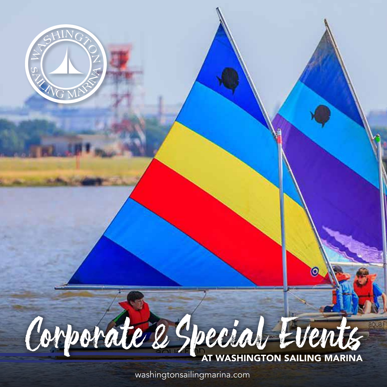

# Corporate & Special Events

ю

washingtonsailingmarina.com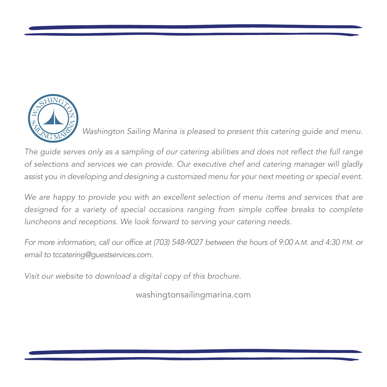

*Washington Sailing Marina is pleased to present this catering guide and menu.* 

*The guide serves only as a sampling of our catering abilities and does not reflect the full range of selections and services we can provide. Our executive chef and catering manager will gladly*  assist you in developing and designing a customized menu for your next meeting or special event.

*We are happy to provide you with an excellent selection of menu items and services that are* designed for a variety of special occasions ranging from simple coffee breaks to complete *luncheons and receptions. We look forward to serving your catering needs.* 

*For more information, call our office at (703) 548-9027 between the hours of 9:00 A.M. and 4:30 P.M. or email to tccatering@guestservices.com.*

*Visit our website to download a digital copy of this brochure.*

washingtonsailingmarina.com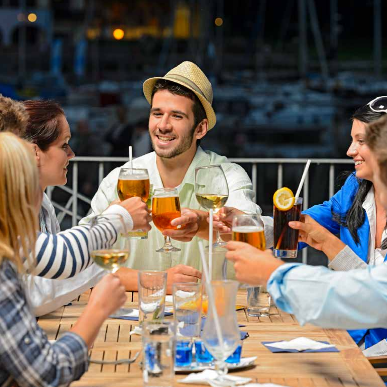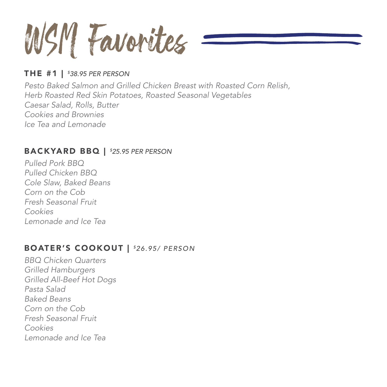WSM Favorites

#### THE #1 | *\$ 38.95 PER PERSON*

*Pesto Baked Salmon and Grilled Chicken Breast with Roasted Corn Relish, Herb Roasted Red Skin Potatoes, Roasted Seasonal Vegetables Caesar Salad, Rolls, Butter Cookies and Brownies Ice Tea and Lemonade*

## BACKYARD BBQ | *\$ 25.95 PER PERSON*

*Pulled Pork BBQ Pulled Chicken BBQ Cole Slaw, Baked Beans Corn on the Cob Fresh Seasonal Fruit Cookies Lemonade and Ice Tea*

#### BOATER'S COOKOUT | *\$26.95/ PERSON*

*BBQ Chicken Quarters Grilled Hamburgers Grilled All-Beef Hot Dogs Pasta Salad Baked Beans Corn on the Cob Fresh Seasonal Fruit Cookies Lemonade and Ice Tea*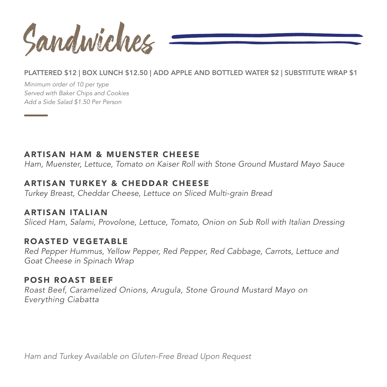Sandwiches

PLATTERED \$12 | BOX LUNCH \$12.50 | ADD APPLE AND BOTTLED WATER \$2 | SUBSTITUTE WRAP \$1

*Minimum order of 10 per type Served with Baker Chips and Cookies Add a Side Salad \$1.50 Per Person*

# ARTISAN HAM & MUENSTER CHEESE

*Ham, Muenster, Lettuce, Tomato on Kaiser Roll with Stone Ground Mustard Mayo Sauce*

## ARTISAN TURKEY & CHEDDAR CHEESE

*Turkey Breast, Cheddar Cheese, Lettuce on Sliced Multi-grain Bread*

## ARTISAN ITALIAN

*Sliced Ham, Salami, Provolone, Lettuce, Tomato, Onion on Sub Roll with Italian Dressing*

## ROASTED VEGETABLE

*Red Pepper Hummus, Yellow Pepper, Red Pepper, Red Cabbage, Carrots, Lettuce and Goat Cheese in Spinach Wrap*

#### POSH ROAST BEEF

*Roast Beef, Caramelized Onions, Arugula, Stone Ground Mustard Mayo on Everything Ciabatta*

*Ham and Turkey Available on Gluten-Free Bread Upon Request*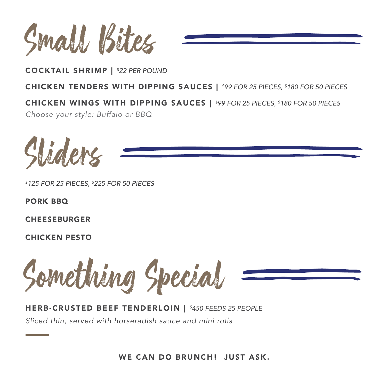Small Bites

COCKTAIL SHRIMP | *\$ 22 PER POUND*

CHICKEN TENDERS WITH DIPPING SAUCES | *\$ 99 FOR 25 PIECES, \$ 180 FOR 50 PIECES*

CHICKEN WINGS WITH DIPPING SAUCES | *\$ 99 FOR 25 PIECES, \$ 180 FOR 50 PIECES Choose your style: Buffalo or BBQ*



*\$ 125 FOR 25 PIECES, \$ 225 FOR 50 PIECES* 

PORK BBQ

CHEESEBURGER

CHICKEN PESTO

Something Special

HERB-CRUSTED BEEF TENDERLOIN | *\$ 450 FEEDS 25 PEOPLE Sliced thin, served with horseradish sauce and mini rolls*

WE CAN DO BRUNCH! JUST ASK.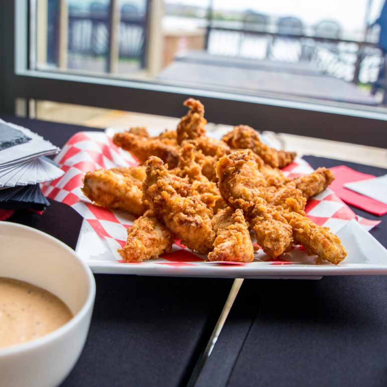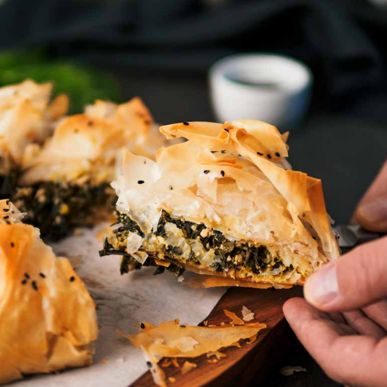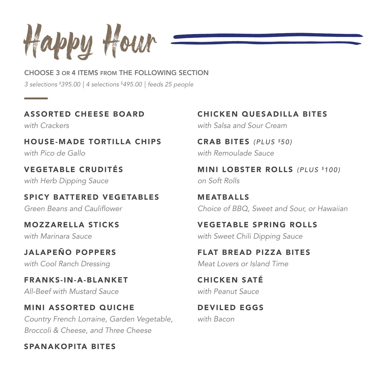How

CHOOSE 3 OR 4 ITEMS FROM THE FOLLOWING SECTION *3 selections \$ 395.00 | 4 selections \$ 495.00 | feeds 25 people*

ASSORTED CHEESE BOARD *with Crackers*

HOUSE-MADE TORTILLA CHIPS *with Pico de Gallo*

VEGETABLE CRUDITÉS *with Herb Dipping Sauce*

SPICY BATTERED VEGETABLES *Green Beans and Cauliflower*

MOZZARELLA STICKS *with Marinara Sauce*

JALAPEÑO POPPERS *with Cool Ranch Dressing*

FRANKS-IN-A-BLANKET *All-Beef with Mustard Sauce*

MINI ASSORTED QUICHE *Country French Lorraine, Garden Vegetable, Broccoli & Cheese, and Three Cheese*

SPANAKOPITA BITES

CHICKEN QUESADILLA BITES *with Salsa and Sour Cream*

CRAB BITES *(PLUS \$50) with Remoulade Sauce*

MINI LOBSTER ROLLS *(PLUS \$100) on Soft Rolls*

MEATBALLS *Choice of BBQ, Sweet and Sour, or Hawaiian*

VEGETABLE SPRING ROLLS *with Sweet Chili Dipping Sauce*

FLAT BREAD PIZZA BITES *Meat Lovers or Island Time*

CHICKEN SATÉ *with Peanut Sauce*

DEVILED EGGS *with Bacon*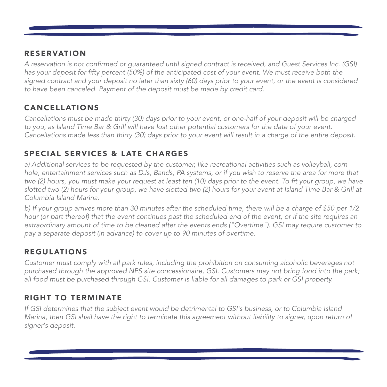## RESERVATION

*A reservation is not confirmed or guaranteed until signed contract is received, and Guest Services Inc. (GSI)*  has your deposit for fifty percent (50%) of the anticipated cost of your event. We must receive both the *signed contract and your deposit no later than sixty (60) days prior to your event, or the event is considered to have been canceled. Payment of the deposit must be made by credit card.*

## CANCELLATIONS

*Cancellations must be made thirty (30) days prior to your event, or one-half of your deposit will be charged to you, as Island Time Bar & Grill will have lost other potential customers for the date of your event. Cancellations made less than thirty (30) days prior to your event will result in a charge of the entire deposit.*

# SPECIAL SERVICES & LATE CHARGES

*a) Additional services to be requested by the customer, like recreational activities such as volleyball, corn hole, entertainment services such as DJs, Bands, PA systems, or if you wish to reserve the area for more that two (2) hours, you must make your request at least ten (10) days prior to the event. To fit your group, we have slotted two (2) hours for your group, we have slotted two (2) hours for your event at Island Time Bar & Grill at Columbia Island Marina.*

*b) If your group arrives more than 30 minutes after the scheduled time, there will be a charge of \$50 per 1/2 hour (or part thereof) that the event continues past the scheduled end of the event, or if the site requires an extraordinary amount of time to be cleaned after the events ends ("Overtime"). GSI may require customer to pay a separate deposit (in advance) to cover up to 90 minutes of overtime.*

# REGULATIONS

*Customer must comply with all park rules, including the prohibition on consuming alcoholic beverages not purchased through the approved NPS site concessionaire, GSI. Customers may not bring food into the park; all food must be purchased through GSI. Customer is liable for all damages to park or GSI property.*

# RIGHT TO TERMINATE

*If GSI determines that the subject event would be detrimental to GSI's business, or to Columbia Island Marina, then GSI shall have the right to terminate this agreement without liability to signer, upon return of signer's deposit.*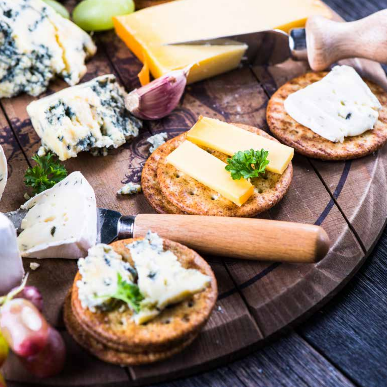